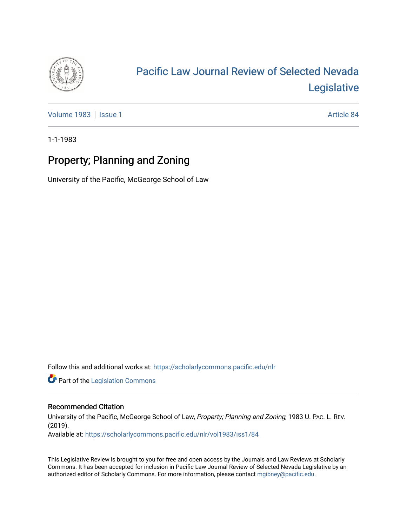

## [Pacific Law Journal Review of Selected Nevada](https://scholarlycommons.pacific.edu/nlr)  [Legislative](https://scholarlycommons.pacific.edu/nlr)

[Volume 1983](https://scholarlycommons.pacific.edu/nlr/vol1983) | [Issue 1](https://scholarlycommons.pacific.edu/nlr/vol1983/iss1) Article 84

1-1-1983

## Property; Planning and Zoning

University of the Pacific, McGeorge School of Law

Follow this and additional works at: [https://scholarlycommons.pacific.edu/nlr](https://scholarlycommons.pacific.edu/nlr?utm_source=scholarlycommons.pacific.edu%2Fnlr%2Fvol1983%2Fiss1%2F84&utm_medium=PDF&utm_campaign=PDFCoverPages) 

**Part of the [Legislation Commons](http://network.bepress.com/hgg/discipline/859?utm_source=scholarlycommons.pacific.edu%2Fnlr%2Fvol1983%2Fiss1%2F84&utm_medium=PDF&utm_campaign=PDFCoverPages)** 

## Recommended Citation

University of the Pacific, McGeorge School of Law, Property; Planning and Zoning, 1983 U. PAC. L. REV. (2019). Available at: [https://scholarlycommons.pacific.edu/nlr/vol1983/iss1/84](https://scholarlycommons.pacific.edu/nlr/vol1983/iss1/84?utm_source=scholarlycommons.pacific.edu%2Fnlr%2Fvol1983%2Fiss1%2F84&utm_medium=PDF&utm_campaign=PDFCoverPages)

This Legislative Review is brought to you for free and open access by the Journals and Law Reviews at Scholarly Commons. It has been accepted for inclusion in Pacific Law Journal Review of Selected Nevada Legislative by an authorized editor of Scholarly Commons. For more information, please contact [mgibney@pacific.edu](mailto:mgibney@pacific.edu).